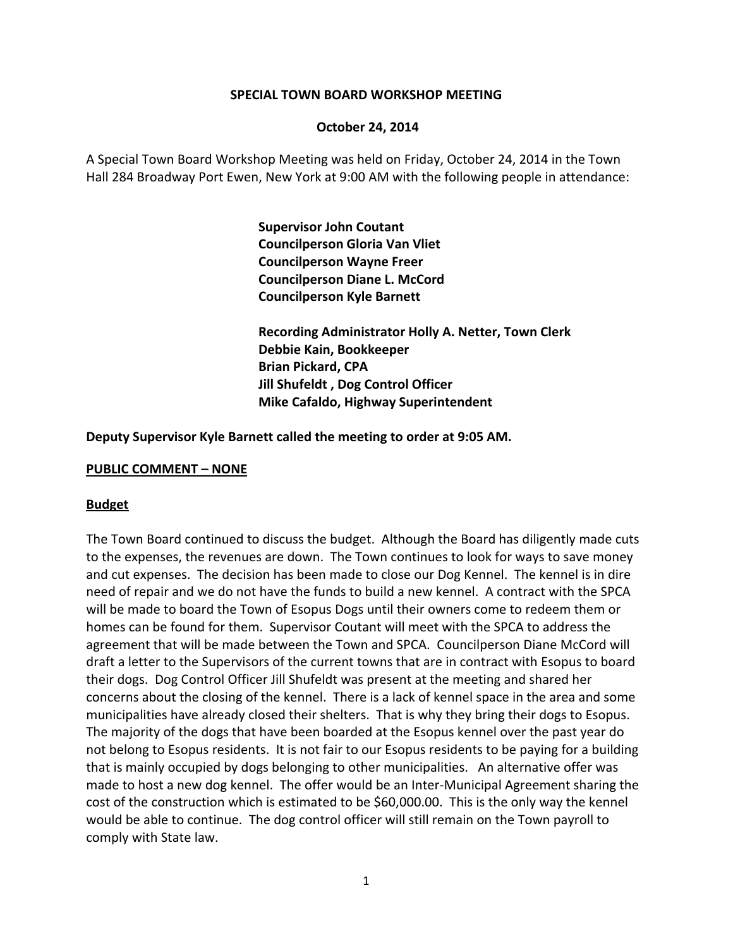### **SPECIAL TOWN BOARD WORKSHOP MEETING**

### **October 24, 2014**

A Special Town Board Workshop Meeting was held on Friday, October 24, 2014 in the Town Hall 284 Broadway Port Ewen, New York at 9:00 AM with the following people in attendance:

> **Supervisor John Coutant Councilperson Gloria Van Vliet Councilperson Wayne Freer Councilperson Diane L. McCord Councilperson Kyle Barnett**

 **Recording Administrator Holly A. Netter, Town Clerk Debbie Kain, Bookkeeper Brian Pickard, CPA Jill Shufeldt , Dog Control Officer Mike Cafaldo, Highway Superintendent**

**Deputy Supervisor Kyle Barnett called the meeting to order at 9:05 AM.**

### **PUBLIC COMMENT – NONE**

#### **Budget**

The Town Board continued to discuss the budget. Although the Board has diligently made cuts to the expenses, the revenues are down. The Town continues to look for ways to save money and cut expenses. The decision has been made to close our Dog Kennel. The kennel is in dire need of repair and we do not have the funds to build a new kennel. A contract with the SPCA will be made to board the Town of Esopus Dogs until their owners come to redeem them or homes can be found for them. Supervisor Coutant will meet with the SPCA to address the agreement that will be made between the Town and SPCA. Councilperson Diane McCord will draft a letter to the Supervisors of the current towns that are in contract with Esopus to board their dogs. Dog Control Officer Jill Shufeldt was present at the meeting and shared her concerns about the closing of the kennel. There is a lack of kennel space in the area and some municipalities have already closed their shelters. That is why they bring their dogs to Esopus. The majority of the dogs that have been boarded at the Esopus kennel over the past year do not belong to Esopus residents. It is not fair to our Esopus residents to be paying for a building that is mainly occupied by dogs belonging to other municipalities. An alternative offer was made to host a new dog kennel. The offer would be an Inter‐Municipal Agreement sharing the cost of the construction which is estimated to be \$60,000.00. This is the only way the kennel would be able to continue. The dog control officer will still remain on the Town payroll to comply with State law.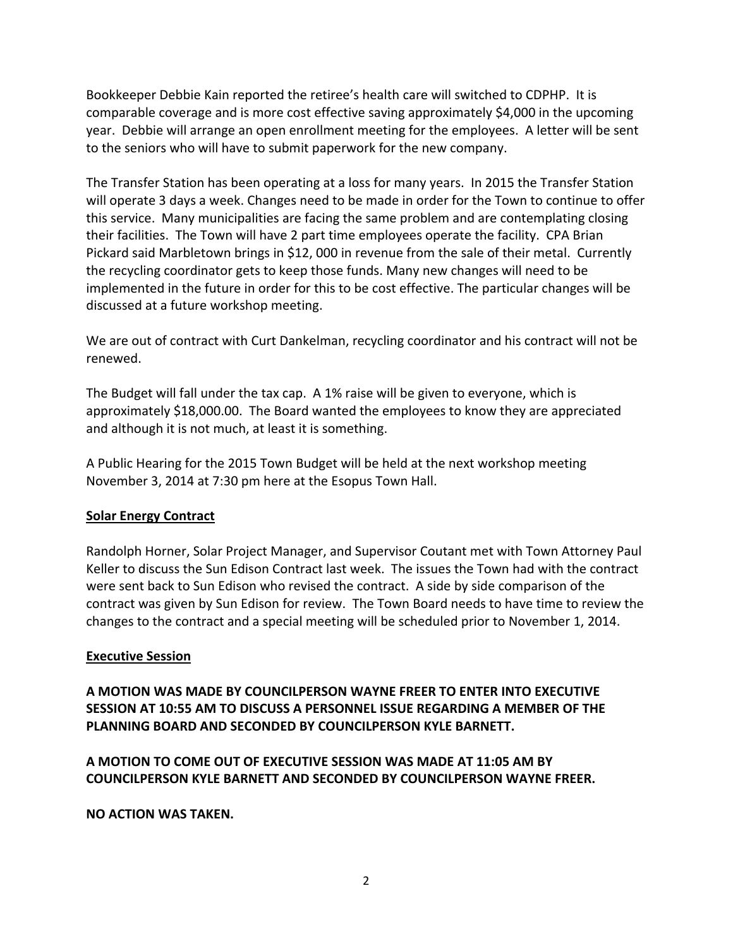Bookkeeper Debbie Kain reported the retiree's health care will switched to CDPHP. It is comparable coverage and is more cost effective saving approximately \$4,000 in the upcoming year. Debbie will arrange an open enrollment meeting for the employees. A letter will be sent to the seniors who will have to submit paperwork for the new company.

The Transfer Station has been operating at a loss for many years. In 2015 the Transfer Station will operate 3 days a week. Changes need to be made in order for the Town to continue to offer this service. Many municipalities are facing the same problem and are contemplating closing their facilities. The Town will have 2 part time employees operate the facility. CPA Brian Pickard said Marbletown brings in \$12, 000 in revenue from the sale of their metal. Currently the recycling coordinator gets to keep those funds. Many new changes will need to be implemented in the future in order for this to be cost effective. The particular changes will be discussed at a future workshop meeting.

We are out of contract with Curt Dankelman, recycling coordinator and his contract will not be renewed.

The Budget will fall under the tax cap. A 1% raise will be given to everyone, which is approximately \$18,000.00. The Board wanted the employees to know they are appreciated and although it is not much, at least it is something.

A Public Hearing for the 2015 Town Budget will be held at the next workshop meeting November 3, 2014 at 7:30 pm here at the Esopus Town Hall.

# **Solar Energy Contract**

Randolph Horner, Solar Project Manager, and Supervisor Coutant met with Town Attorney Paul Keller to discuss the Sun Edison Contract last week. The issues the Town had with the contract were sent back to Sun Edison who revised the contract. A side by side comparison of the contract was given by Sun Edison for review. The Town Board needs to have time to review the changes to the contract and a special meeting will be scheduled prior to November 1, 2014.

## **Executive Session**

**A MOTION WAS MADE BY COUNCILPERSON WAYNE FREER TO ENTER INTO EXECUTIVE SESSION AT 10:55 AM TO DISCUSS A PERSONNEL ISSUE REGARDING A MEMBER OF THE PLANNING BOARD AND SECONDED BY COUNCILPERSON KYLE BARNETT.**

**A MOTION TO COME OUT OF EXECUTIVE SESSION WAS MADE AT 11:05 AM BY COUNCILPERSON KYLE BARNETT AND SECONDED BY COUNCILPERSON WAYNE FREER.**

**NO ACTION WAS TAKEN.**